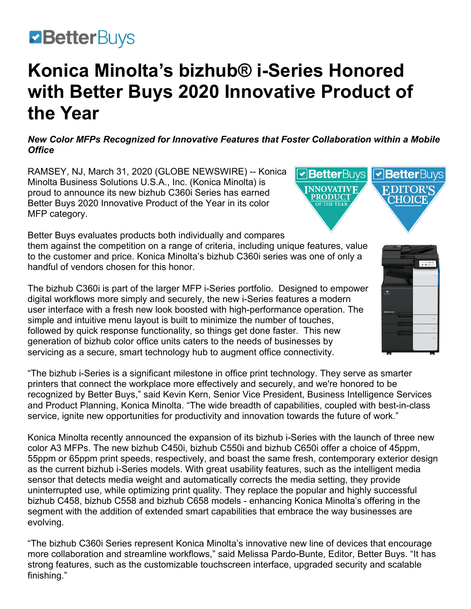# **ZBetterBuys**

# **Konica Minolta's bizhub® i-Series Honored with Better Buys 2020 Innovative Product of the Year**

*New Color MFPs Recognized for Innovative Features that Foster Collaboration within a Mobile Office*

RAMSEY, NJ, March 31, 2020 (GLOBE NEWSWIRE) -- [Konica](https://www.globenewswire.com/Tracker?data=GJlTGXFjsTuZ-6Rhx9SdzJ0mfAGRaQvjgPp3Pn7jE3760zEOfsykOykSq9f-KflXm1vigUvA1nUfr_nApt0DR1ovchHrQJu4_AXA9cFejrHCwvaMK7zIsHo_hK6-eXT7__H9TdnPJMLd6B9R8NJLd2z1ODWUkAaRhD9f4lhWzYM=)  [Minolta Business Solutions U.S.A., Inc.](https://www.globenewswire.com/Tracker?data=GJlTGXFjsTuZ-6Rhx9SdzJ0mfAGRaQvjgPp3Pn7jE3760zEOfsykOykSq9f-KflXm1vigUvA1nUfr_nApt0DR1ovchHrQJu4_AXA9cFejrHCwvaMK7zIsHo_hK6-eXT7__H9TdnPJMLd6B9R8NJLd2z1ODWUkAaRhD9f4lhWzYM=) (Konica Minolta) is proud to announce its new [bizhub C360i Series](https://www.globenewswire.com/Tracker?data=L13I-yrWiWr77gusGiN-HpSPfxX6F2kUqPja3o6Qx4CPjvkUPGVpaI2LG0okTTJa91n0czbvsVkWZ-DADAyoAFCPOhix86RZk8S1LajAnSjLwX38pIhmGUwqXPehffseh5yylRM9cNfv7n4gXWp2UagYMrJ6RLkF5_3GGVnyGfkJ8MfZU7MSS6PErsmzG3Bph5O3MwxXpdBcUy-R_XNnrg==) has earned Better Buys 2020 Innovative Product of the Year in its color MFP category.

Better Buys evaluates products both individually and compares them against the competition on a range of criteria, including unique features, value to the customer and price. Konica Minolta's bizhub C360i series was one of only a handful of vendors chosen for this honor.

The bizhub C360i is part of the larger [MFP i-Series](https://www.globenewswire.com/Tracker?data=hKhfIIkgKcfFdhdeewX5Sa-45QsZfdfJ2wx63aaApgtXHbo4Nr7rF2gDxUnp9D9AobGpppJkc0MCqk-fSgoPJElHa2XGQg-bh8v66zfef3Q2irmRxgFJzF68dwFg6ttqR82KCQnuyeSjDVssKlOcRQ==) portfolio. Designed to empower digital workflows more simply and securely, the new i-Series features a modern user interface with a fresh new look boosted with high-performance operation. The simple and intuitive menu layout is built to minimize the number of touches, followed by quick response functionality, so things get done faster. This new generation of bizhub color office units caters to the needs of businesses by servicing as a secure, smart technology hub to augment office connectivity.

"The bizhub i-Series is a significant milestone in office print technology. They serve as smarter printers that connect the workplace more effectively and securely, and we're honored to be recognized by Better Buys," said Kevin Kern, Senior Vice President, Business Intelligence Services and Product Planning, Konica Minolta. "The wide breadth of capabilities, coupled with best-in-class service, ignite new opportunities for productivity and innovation towards the future of work."

Konica Minolta recently announced the [expansion of its bizhub i-Series](https://www.globenewswire.com/Tracker?data=PZ3CbZxffZS2oKMgRIwgu2WqG_1BZ7_FBdaTW2Y1qJu2MFj0fb3ZKcc8-ECK8-BBD8cSwKsZzM1_BrVkORst8K3Ddj4C9DEyDpqcjaeDKcQDPiEXJwxbs5uLDJEHvQWHCh8Y1cekgwxTRKyTK-v6gCXc4Og8Issq_WkiYCGT-YK6jHlLw7D_mAb5X45Rvo1gEoO66hCKjADo8PCcwL3NtaWaUpDEBAKRG1c9sGxSK5CFbFxsvz21Pn8GyaYZqeL-OGwcQ5x3ENHtGpz2wd0jrQ==) with the launch of three new color A3 MFPs. The new bizhub C450i, bizhub C550i and bizhub C650i offer a choice of 45ppm, 55ppm or 65ppm print speeds, respectively, and boast the same fresh, contemporary exterior design as the current bizhub i-Series models. With great usability features, such as the intelligent media sensor that detects media weight and automatically corrects the media setting, they provide uninterrupted use, while optimizing print quality. They replace the popular and highly successful bizhub C458, bizhub C558 and bizhub C658 models - enhancing Konica Minolta's offering in the segment with the addition of extended smart capabilities that embrace the way businesses are evolving.

"The bizhub C360i Series represent Konica Minolta's innovative new line of devices that encourage more collaboration and streamline workflows," said Melissa Pardo-Bunte, Editor, Better Buys. "It has strong features, such as the customizable touchscreen interface, upgraded security and scalable finishing."



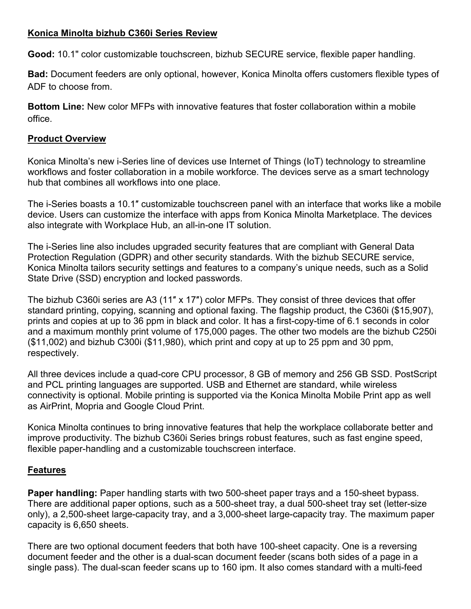#### **Konica Minolta bizhub C360i Series Review**

**Good:** 10.1" color customizable touchscreen, bizhub SECURE service, flexible paper handling.

**Bad:** Document feeders are only optional, however, Konica Minolta offers customers flexible types of ADF to choose from.

**Bottom Line:** New color MFPs with innovative features that foster collaboration within a mobile office.

#### **Product Overview**

Konica Minolta's new i-Series line of devices use Internet of Things (IoT) technology to streamline workflows and foster collaboration in a mobile workforce. The devices serve as a smart technology hub that combines all workflows into one place.

The i-Series boasts a 10.1″ customizable touchscreen panel with an interface that works like a mobile device. Users can customize the interface with apps from Konica Minolta Marketplace. The devices also integrate with [Workplace Hub,](https://workplacehub.konicaminolta.com/en_us/) an all-in-one IT solution.

The i-Series line also includes upgraded security features that are compliant with General Data Protection Regulation (GDPR) and other security standards. With the bizhub SECURE service, Konica Minolta tailors security settings and features to a company's unique needs, such as a Solid State Drive (SSD) encryption and locked passwords.

The bizhub C360i series are A3 (11″ x 17″) color MFPs. They consist of three devices that offer standard printing, copying, scanning and optional faxing. The flagship product, the C360i (\$15,907), prints and copies at up to 36 ppm in black and color. It has a first-copy-time of 6.1 seconds in color and a maximum monthly print volume of 175,000 pages. The other two models are the bizhub C250i (\$11,002) and bizhub C300i (\$11,980), which print and copy at up to 25 ppm and 30 ppm, respectively.

All three devices include a quad-core CPU processor, 8 GB of memory and 256 GB SSD. PostScript and PCL printing languages are supported. USB and Ethernet are standard, while wireless connectivity is optional. Mobile printing is supported via the Konica Minolta Mobile Print app as well as AirPrint, Mopria and Google Cloud Print.

Konica Minolta continues to bring innovative features that help the workplace collaborate better and improve productivity. The bizhub C360i Series brings robust features, such as fast engine speed, flexible paper-handling and a customizable touchscreen interface.

## **Features**

**Paper handling:** Paper handling starts with two 500-sheet paper trays and a 150-sheet bypass. There are additional paper options, such as a 500-sheet tray, a dual 500-sheet tray set (letter-size only), a 2,500-sheet large-capacity tray, and a 3,000-sheet large-capacity tray. The maximum paper capacity is 6,650 sheets.

There are two optional document feeders that both have 100-sheet capacity. One is a reversing document feeder and the other is a dual-scan document feeder (scans both sides of a page in a single pass). The dual-scan feeder scans up to 160 ipm. It also comes standard with a multi-feed